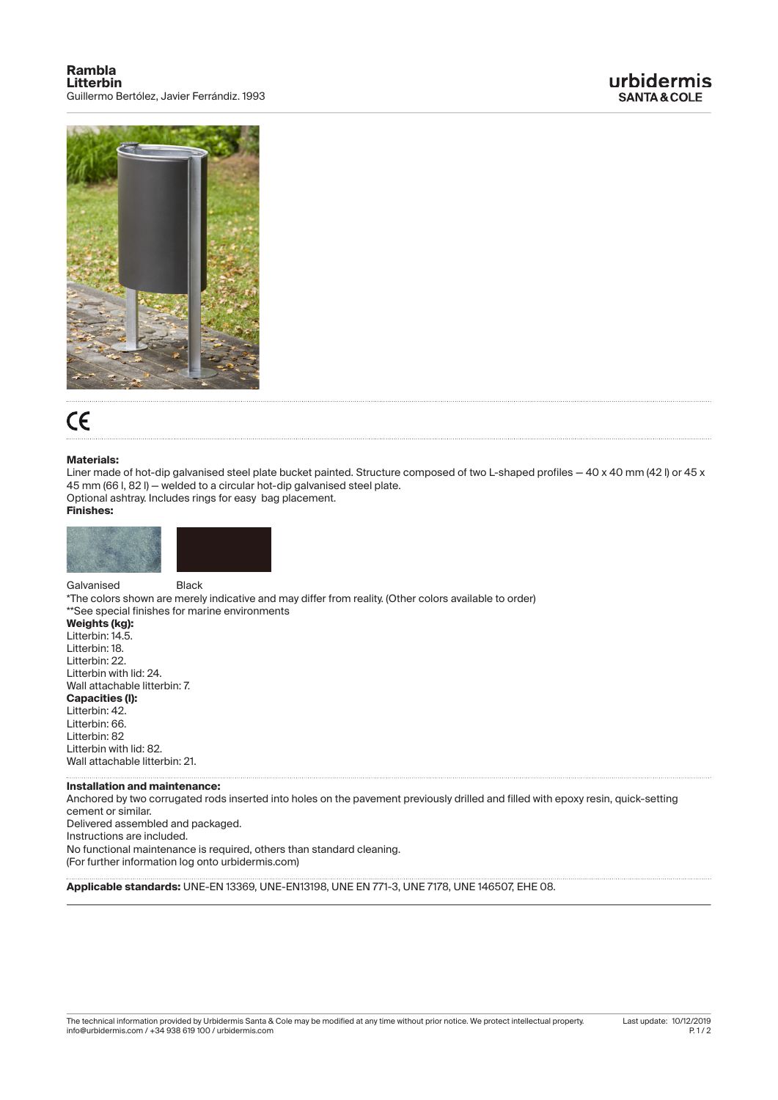

## $\epsilon$

## **Materials:**

Liner made of hot-dip galvanised steel plate bucket painted. Structure composed of two L-shaped profiles - 40 x 40 mm (42 l) or 45 x 45 mm (66 l, 82 l) — welded to a circular hot-dip galvanised steel plate. Optional ashtray. Includes rings for easy bag placement.

## **Finishes:**



Galvanised **Black** 

\*The colors shown are merely indicative and may differ from reality. (Other colors available to order) \*\*See special finishes for marine environments

**Weights (kg):**  Litterbin: 14.5.

 $\overline{a}$ 

Litterbin: 18. Litterbin: 22. Litterbin with lid: 24. Wall attachable litterbin: 7. **Capacities (l):**  Litterbin: 42. Litterbin: 66. Litterbin: 82 Litterbin with lid: 82. Wall attachable litterbin: 21.

## **Installation and maintenance:**

Anchored by two corrugated rods inserted into holes on the pavement previously drilled and filled with epoxy resin, quick-setting cement or similar. Delivered assembled and packaged. Instructions are included. No functional maintenance is required, others than standard cleaning. (For further information log onto urbidermis.com)

**Applicable standards:** UNE-EN 13369, UNE-EN13198, UNE EN 771-3, UNE 7178, UNE 146507, EHE 08.